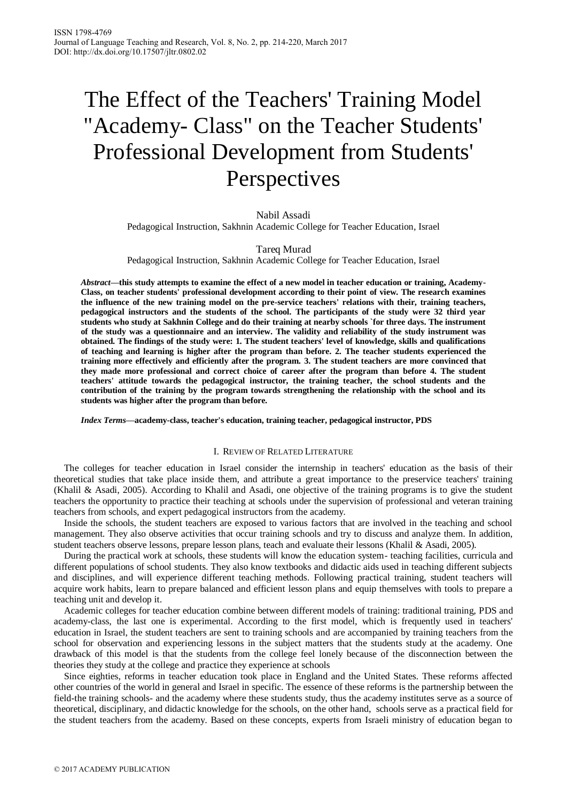# The Effect of the Teachers' Training Model "Academy- Class" on the Teacher Students' Professional Development from Students' Perspectives

Nabil Assadi Pedagogical Instruction, Sakhnin Academic College for Teacher Education, Israel

Tareq Murad

Pedagogical Instruction, Sakhnin Academic College for Teacher Education, Israel

*Abstract***—this study attempts to examine the effect of a new model in teacher education or training, Academy-Class, on teacher students' professional development according to their point of view. The research examines the influence of the new training model on the pre-service teachers' relations with their, training teachers, pedagogical instructors and the students of the school. The participants of the study were 32 third year students who study at Sakhnin College and do their training at nearby schools `for three days. The instrument of the study was a questionnaire and an interview. The validity and reliability of the study instrument was obtained. The findings of the study were: 1. The student teachers' level of knowledge, skills and qualifications of teaching and learning is higher after the program than before. 2. The teacher students experienced the training more effectively and efficiently after the program. 3. The student teachers are more convinced that they made more professional and correct choice of career after the program than before 4. The student teachers' attitude towards the pedagogical instructor, the training teacher, the school students and the contribution of the training by the program towards strengthening the relationship with the school and its students was higher after the program than before.**

*Index Terms***—academy-class, teacher's education, training teacher, pedagogical instructor, PDS**

# I. REVIEW OF RELATED LITERATURE

The colleges for teacher education in Israel consider the internship in teachers' education as the basis of their theoretical studies that take place inside them, and attribute a great importance to the preservice teachers' training (Khalil & Asadi, 2005). According to Khalil and Asadi, one objective of the training programs is to give the student teachers the opportunity to practice their teaching at schools under the supervision of professional and veteran training teachers from schools, and expert pedagogical instructors from the academy.

Inside the schools, the student teachers are exposed to various factors that are involved in the teaching and school management. They also observe activities that occur training schools and try to discuss and analyze them. In addition, student teachers observe lessons, prepare lesson plans, teach and evaluate their lessons (Khalil & Asadi, 2005).

During the practical work at schools, these students will know the education system- teaching facilities, curricula and different populations of school students. They also know textbooks and didactic aids used in teaching different subjects and disciplines, and will experience different teaching methods. Following practical training, student teachers will acquire work habits, learn to prepare balanced and efficient lesson plans and equip themselves with tools to prepare a teaching unit and develop it.

Academic colleges for teacher education combine between different models of training: traditional training, PDS and academy-class, the last one is experimental. According to the first model, which is frequently used in teachers' education in Israel, the student teachers are sent to training schools and are accompanied by training teachers from the school for observation and experiencing lessons in the subject matters that the students study at the academy. One drawback of this model is that the students from the college feel lonely because of the disconnection between the theories they study at the college and practice they experience at schools

Since eighties, reforms in teacher education took place in England and the United States. These reforms affected other countries of the world in general and Israel in specific. The essence of these reforms is the partnership between the field-the training schools- and the academy where these students study, thus the academy institutes serve as a source of theoretical, disciplinary, and didactic knowledge for the schools, on the other hand, schools serve as a practical field for the student teachers from the academy. Based on these concepts, experts from Israeli ministry of education began to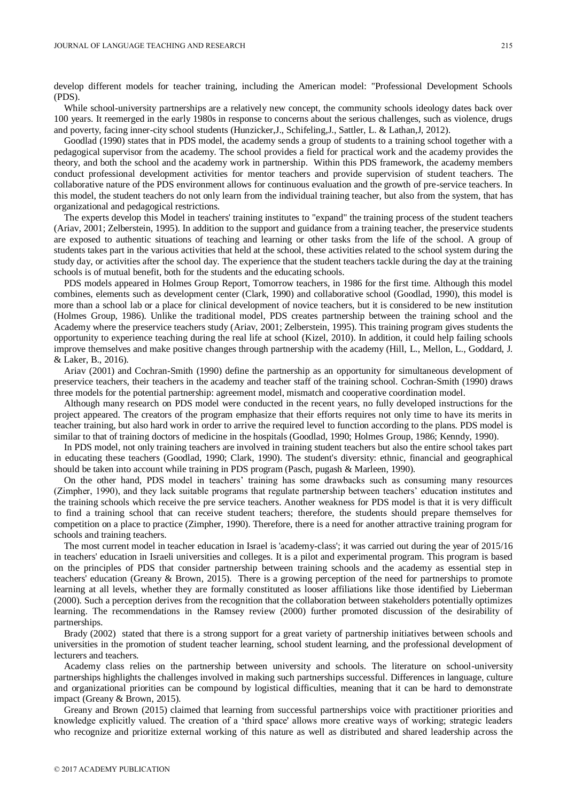develop different models for teacher training, including the American model: "Professional Development Schools (PDS).

While school-university partnerships are a relatively new concept, the community schools ideology dates back over 100 years. It reemerged in the early 1980s in response to concerns about the serious challenges, such as violence, drugs and poverty, facing inner-city school students (Hunzicker,J., Schifeling,J., Sattler, L. & Lathan,J, 2012).

Goodlad (1990) states that in PDS model, the academy sends a group of students to a training school together with a pedagogical supervisor from the academy. The school provides a field for practical work and the academy provides the theory, and both the school and the academy work in partnership. Within this PDS framework, the academy members conduct professional development activities for mentor teachers and provide supervision of student teachers. The collaborative nature of the PDS environment allows for continuous evaluation and the growth of pre-service teachers. In this model, the student teachers do not only learn from the individual training teacher, but also from the system, that has organizational and pedagogical restrictions.

The experts develop this Model in teachers' training institutes to "expand" the training process of the student teachers (Ariav, 2001; Zelberstein, 1995). In addition to the support and guidance from a training teacher, the preservice students are exposed to authentic situations of teaching and learning or other tasks from the life of the school. A group of students takes part in the various activities that held at the school, these activities related to the school system during the study day, or activities after the school day. The experience that the student teachers tackle during the day at the training schools is of mutual benefit, both for the students and the educating schools.

PDS models appeared in Holmes Group Report, Tomorrow teachers, in 1986 for the first time. Although this model combines, elements such as development center (Clark, 1990) and collaborative school (Goodlad, 1990), this model is more than a school lab or a place for clinical development of novice teachers, but it is considered to be new institution (Holmes Group, 1986). Unlike the traditional model, PDS creates partnership between the training school and the Academy where the preservice teachers study (Ariav, 2001; Zelberstein, 1995). This training program gives students the opportunity to experience teaching during the real life at school (Kizel, 2010). In addition, it could help failing schools improve themselves and make positive changes through partnership with the academy (Hill, L., Mellon, L., Goddard, J. & Laker, B., 2016).

Ariav (2001) and Cochran-Smith (1990) define the partnership as an opportunity for simultaneous development of preservice teachers, their teachers in the academy and teacher staff of the training school. Cochran-Smith (1990) draws three models for the potential partnership: agreement model, mismatch and cooperative coordination model.

Although many research on PDS model were conducted in the recent years, no fully developed instructions for the project appeared. The creators of the program emphasize that their efforts requires not only time to have its merits in teacher training, but also hard work in order to arrive the required level to function according to the plans. PDS model is similar to that of training doctors of medicine in the hospitals (Goodlad, 1990; Holmes Group, 1986; Kenndy, 1990).

In PDS model, not only training teachers are involved in training student teachers but also the entire school takes part in educating these teachers (Goodlad, 1990; Clark, 1990). The student's diversity: ethnic, financial and geographical should be taken into account while training in PDS program (Pasch, pugash & Marleen, 1990).

On the other hand, PDS model in teachers' training has some drawbacks such as consuming many resources (Zimpher, 1990), and they lack suitable programs that regulate partnership between teachers' education institutes and the training schools which receive the pre service teachers. Another weakness for PDS model is that it is very difficult to find a training school that can receive student teachers; therefore, the students should prepare themselves for competition on a place to practice (Zimpher, 1990). Therefore, there is a need for another attractive training program for schools and training teachers.

The most current model in teacher education in Israel is 'academy-class'; it was carried out during the year of 2015/16 in teachers' education in Israeli universities and colleges. It is a pilot and experimental program. This program is based on the principles of PDS that consider partnership between training schools and the academy as essential step in teachers' education (Greany & Brown, 2015). There is a growing perception of the need for partnerships to promote learning at all levels, whether they are formally constituted as looser affiliations like those identified by Lieberman (2000). Such a perception derives from the recognition that the collaboration between stakeholders potentially optimizes learning. The recommendations in the Ramsey review (2000) further promoted discussion of the desirability of partnerships.

Brady (2002) stated that there is a strong support for a great variety of partnership initiatives between schools and universities in the promotion of student teacher learning, school student learning, and the professional development of lecturers and teachers.

Academy class relies on the partnership between university and schools. The literature on school-university partnerships highlights the challenges involved in making such partnerships successful. Differences in language, culture and organizational priorities can be compound by logistical difficulties, meaning that it can be hard to demonstrate impact (Greany & Brown, 2015).

Greany and Brown (2015) claimed that learning from successful partnerships voice with practitioner priorities and knowledge explicitly valued. The creation of a 'third space' allows more creative ways of working; strategic leaders who recognize and prioritize external working of this nature as well as distributed and shared leadership across the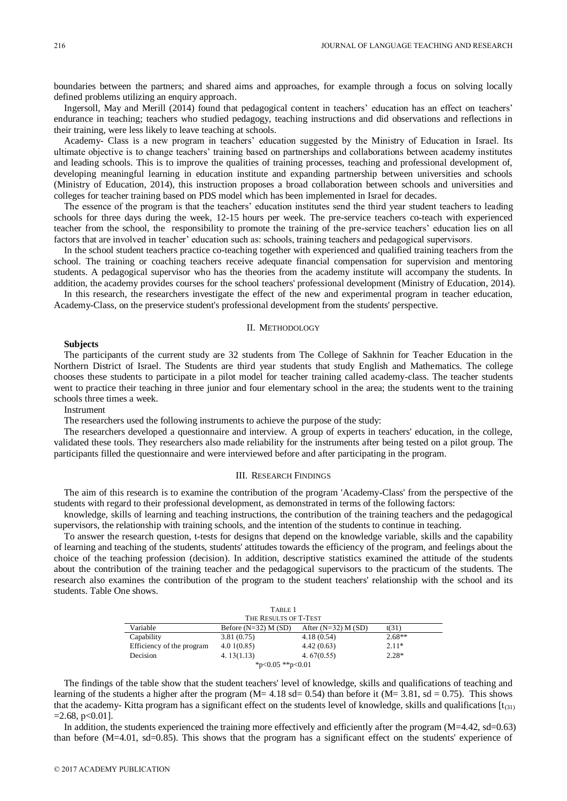boundaries between the partners; and shared aims and approaches, for example through a focus on solving locally defined problems utilizing an enquiry approach.

Ingersoll, May and Merill (2014) found that pedagogical content in teachers' education has an effect on teachers' endurance in teaching; teachers who studied pedagogy, teaching instructions and did observations and reflections in their training, were less likely to leave teaching at schools.

Academy- Class is a new program in teachers' education suggested by the Ministry of Education in Israel. Its ultimate objective is to change teachers' training based on partnerships and collaborations between academy institutes and leading schools. This is to improve the qualities of training processes, teaching and professional development of, developing meaningful learning in education institute and expanding partnership between universities and schools (Ministry of Education, 2014), this instruction proposes a broad collaboration between schools and universities and colleges for teacher training based on PDS model which has been implemented in Israel for decades.

The essence of the program is that the teachers' education institutes send the third year student teachers to leading schools for three days during the week, 12-15 hours per week. The pre-service teachers co-teach with experienced teacher from the school, the responsibility to promote the training of the pre-service teachers' education lies on all factors that are involved in teacher' education such as: schools, training teachers and pedagogical supervisors.

In the school student teachers practice co-teaching together with experienced and qualified training teachers from the school. The training or coaching teachers receive adequate financial compensation for supervision and mentoring students. A pedagogical supervisor who has the theories from the academy institute will accompany the students. In addition, the academy provides courses for the school teachers' professional development (Ministry of Education, 2014).

In this research, the researchers investigate the effect of the new and experimental program in teacher education, Academy-Class, on the preservice student's professional development from the students' perspective.

#### II. METHODOLOGY

#### **Subjects**

The participants of the current study are 32 students from The College of Sakhnin for Teacher Education in the Northern District of Israel. The Students are third year students that study English and Mathematics. The college chooses these students to participate in a pilot model for teacher training called academy-class. The teacher students went to practice their teaching in three junior and four elementary school in the area; the students went to the training schools three times a week.

**Instrument** 

The researchers used the following instruments to achieve the purpose of the study:

The researchers developed a questionnaire and interview. A group of experts in teachers' education, in the college, validated these tools. They researchers also made reliability for the instruments after being tested on a pilot group. The participants filled the questionnaire and were interviewed before and after participating in the program.

#### III. RESEARCH FINDINGS

The aim of this research is to examine the contribution of the program 'Academy-Class' from the perspective of the students with regard to their professional development, as demonstrated in terms of the following factors:

knowledge, skills of learning and teaching instructions, the contribution of the training teachers and the pedagogical supervisors, the relationship with training schools, and the intention of the students to continue in teaching.

To answer the research question, t-tests for designs that depend on the knowledge variable, skills and the capability of learning and teaching of the students, students' attitudes towards the efficiency of the program, and feelings about the choice of the teaching profession (decision). In addition, descriptive statistics examined the attitude of the students about the contribution of the training teacher and the pedagogical supervisors to the practicum of the students. The research also examines the contribution of the program to the student teachers' relationship with the school and its students. Table One shows.

|                           | TABLE 1                  |                         |          |  |  |
|---------------------------|--------------------------|-------------------------|----------|--|--|
|                           | THE RESULTS OF T-TEST    |                         |          |  |  |
| Variable                  | Before $(N=32)$ M $(SD)$ | After $(N=32)$ M $(SD)$ | t(31)    |  |  |
| Capability                | 3.81(0.75)               | 4.18(0.54)              | $2.68**$ |  |  |
| Efficiency of the program | 4.01(0.85)               | 4.42(0.63)              | $2.11*$  |  |  |
| Decision                  | 4.13(1.13)               | 4.67(0.55)              | $2.28*$  |  |  |
|                           | *p<0.05 **p<0.01         |                         |          |  |  |

The findings of the table show that the student teachers' level of knowledge, skills and qualifications of teaching and learning of the students a higher after the program ( $M= 4.18$  sd= 0.54) than before it ( $M= 3.81$ , sd = 0.75). This shows that the academy- Kitta program has a significant effect on the students level of knowledge, skills and qualifications  $[t_{(31)}]$  $=2.68$ , p $< 0.01$ ].

In addition, the students experienced the training more effectively and efficiently after the program (M=4.42, sd=0.63) than before (M=4.01, sd=0.85). This shows that the program has a significant effect on the students' experience of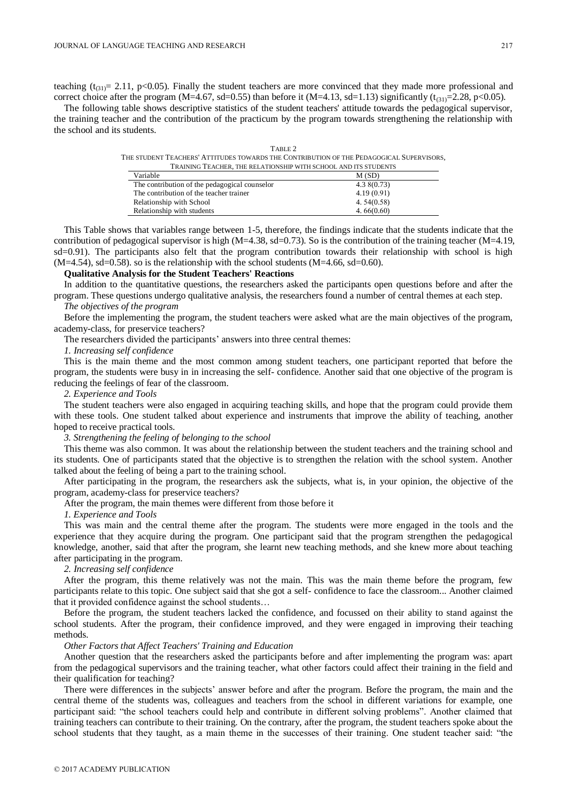teaching  $(t_{(31)}= 2.11, p<0.05)$ . Finally the student teachers are more convinced that they made more professional and correct choice after the program (M=4.67, sd=0.55) than before it (M=4.13, sd=1.13) significantly ( $t_{(31)}$ =2.28, p<0.05).

The following table shows descriptive statistics of the student teachers' attitude towards the pedagogical supervisor, the training teacher and the contribution of the practicum by the program towards strengthening the relationship with the school and its students.

TABLE 2

|                                                                                                                 |                                               | THE STUDENT TEACHERS' ATTITUDES TOWARDS THE CONTRIBUTION OF THE PEDAGOGICAL SUPERVISORS. |
|-----------------------------------------------------------------------------------------------------------------|-----------------------------------------------|------------------------------------------------------------------------------------------|
|                                                                                                                 |                                               | TRAINING TEACHER, THE RELATIONSHIP WITH SCHOOL AND ITS STUDENTS                          |
|                                                                                                                 | Variable                                      | M(SD)                                                                                    |
|                                                                                                                 | The contribution of the pedagogical counselor | 4.38(0.73)                                                                               |
| the contract of the contract of the contract of the contract of the contract of the contract of the contract of |                                               | 1.10 (0.01)                                                                              |

| The condition of the peak officer counteror | $$ $$ $$ $$ $$ |
|---------------------------------------------|----------------|
| The contribution of the teacher trainer     | 4.19(0.91)     |
| Relationship with School                    | 4.54(0.58)     |
| Relationship with students                  | 4.66(0.60)     |

This Table shows that variables range between 1-5, therefore, the findings indicate that the students indicate that the contribution of pedagogical supervisor is high  $(M=4.38, sd=0.73)$ . So is the contribution of the training teacher  $(M=4.19,$ sd=0.91). The participants also felt that the program contribution towards their relationship with school is high  $(M=4.54)$ , sd=0.58). so is the relationship with the school students  $(M=4.66, sd=0.60)$ .

# **Qualitative Analysis for the Student Teachers' Reactions**

In addition to the quantitative questions, the researchers asked the participants open questions before and after the program. These questions undergo qualitative analysis, the researchers found a number of central themes at each step.

# *The objectives of the program*

Before the implementing the program, the student teachers were asked what are the main objectives of the program, academy-class, for preservice teachers?

The researchers divided the participants' answers into three central themes:

# *1. Increasing self confidence*

This is the main theme and the most common among student teachers, one participant reported that before the program, the students were busy in in increasing the self- confidence. Another said that one objective of the program is reducing the feelings of fear of the classroom.

### *2. Experience and Tools*

The student teachers were also engaged in acquiring teaching skills, and hope that the program could provide them with these tools. One student talked about experience and instruments that improve the ability of teaching, another hoped to receive practical tools.

# *3. Strengthening the feeling of belonging to the school*

This theme was also common. It was about the relationship between the student teachers and the training school and its students. One of participants stated that the objective is to strengthen the relation with the school system. Another talked about the feeling of being a part to the training school.

After participating in the program, the researchers ask the subjects, what is, in your opinion, the objective of the program, academy-class for preservice teachers?

After the program, the main themes were different from those before it

*1. Experience and Tools*

This was main and the central theme after the program. The students were more engaged in the tools and the experience that they acquire during the program. One participant said that the program strengthen the pedagogical knowledge, another, said that after the program, she learnt new teaching methods, and she knew more about teaching after participating in the program.

*2. Increasing self confidence*

After the program, this theme relatively was not the main. This was the main theme before the program, few participants relate to this topic. One subject said that she got a self- confidence to face the classroom... Another claimed that it provided confidence against the school students…

Before the program, the student teachers lacked the confidence, and focussed on their ability to stand against the school students. After the program, their confidence improved, and they were engaged in improving their teaching methods.

#### *Other Factors that Affect Teachers' Training and Education*

Another question that the researchers asked the participants before and after implementing the program was: apart from the pedagogical supervisors and the training teacher, what other factors could affect their training in the field and their qualification for teaching?

There were differences in the subjects' answer before and after the program. Before the program, the main and the central theme of the students was, colleagues and teachers from the school in different variations for example, one participant said: "the school teachers could help and contribute in different solving problems". Another claimed that training teachers can contribute to their training. On the contrary, after the program, the student teachers spoke about the school students that they taught, as a main theme in the successes of their training. One student teacher said: "the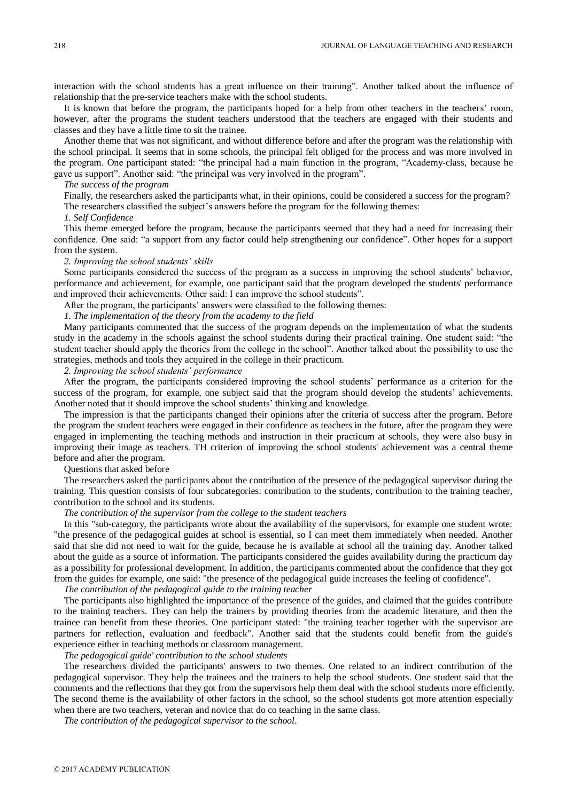interaction with the school students has a great influence on their training". Another talked about the influence of relationship that the pre-service teachers make with the school students.

It is known that before the program, the participants hoped for a help from other teachers in the teachers' room, however, after the programs the student teachers understood that the teachers are engaged with their students and classes and they have a little time to sit the trainee.

Another theme that was not significant, and without difference before and after the program was the relationship with the school principal. It seems that in some schools, the principal felt obliged for the process and was more involved in the program. One participant stated: "the principal had a main function in the program, "Academy-class, because he gave us support". Another said: "the principal was very involved in the program".

## *The success of the program*

Finally, the researchers asked the participants what, in their opinions, could be considered a success for the program? The researchers classified the subject's answers before the program for the following themes:

### *1. Self Confidence*

This theme emerged before the program, because the participants seemed that they had a need for increasing their confidence. One said: "a support from any factor could help strengthening our confidence". Other hopes for a support from the system.

#### *2. Improving the school students' skills*

Some participants considered the success of the program as a success in improving the school students' behavior, performance and achievement, for example, one participant said that the program developed the students' performance and improved their achievements. Other said: I can improve the school students".

After the program, the participants' answers were classified to the following themes:

*1. The implementation of the theory from the academy to the field*

Many participants commented that the success of the program depends on the implementation of what the students study in the academy in the schools against the school students during their practical training. One student said: "the student teacher should apply the theories from the college in the school". Another talked about the possibility to use the strategies, methods and tools they acquired in the college in their practicum.

# *2. Improving the school students' performance*

After the program, the participants considered improving the school students' performance as a criterion for the success of the program, for example, one subject said that the program should develop the students' achievements. Another noted that it should improve the school students' thinking and knowledge.

The impression is that the participants changed their opinions after the criteria of success after the program. Before the program the student teachers were engaged in their confidence as teachers in the future, after the program they were engaged in implementing the teaching methods and instruction in their practicum at schools, they were also busy in improving their image as teachers. TH criterion of improving the school students' achievement was a central theme before and after the program.

#### Questions that asked before

The researchers asked the participants about the contribution of the presence of the pedagogical supervisor during the training. This question consists of four subcategories: contribution to the students, contribution to the training teacher, contribution to the school and its students.

#### *The contribution of the supervisor from the college to the student teachers*

In this "sub-category, the participants wrote about the availability of the supervisors, for example one student wrote: "the presence of the pedagogical guides at school is essential, so I can meet them immediately when needed. Another said that she did not need to wait for the guide, because he is available at school all the training day. Another talked about the guide as a source of information. The participants considered the guides availability during the practicum day as a possibility for professional development. In addition, the participants commented about the confidence that they got from the guides for example, one said: "the presence of the pedagogical guide increases the feeling of confidence".

*The contribution of the pedagogical guide to the training teacher*

The participants also highlighted the importance of the presence of the guides, and claimed that the guides contribute to the training teachers. They can help the trainers by providing theories from the academic literature, and then the trainee can benefit from these theories. One participant stated: "the training teacher together with the supervisor are partners for reflection, evaluation and feedback". Another said that the students could benefit from the guide's experience either in teaching methods or classroom management.

*The pedagogical guide' contribution to the school students*

The researchers divided the participants' answers to two themes. One related to an indirect contribution of the pedagogical supervisor. They help the trainees and the trainers to help the school students. One student said that the comments and the reflections that they got from the supervisors help them deal with the school students more efficiently. The second theme is the availability of other factors in the school, so the school students got more attention especially when there are two teachers, veteran and novice that do co teaching in the same class.

*The contribution of the pedagogical supervisor to the school*.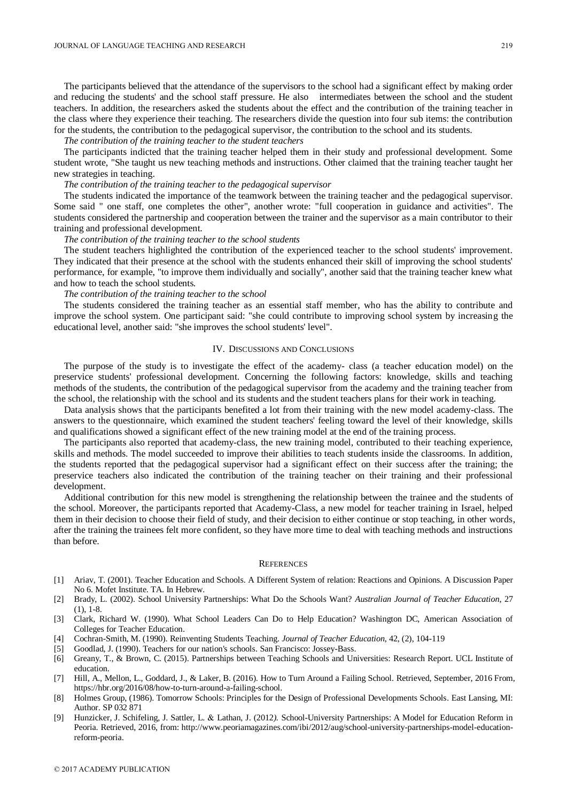The participants believed that the attendance of the supervisors to the school had a significant effect by making order and reducing the students' and the school staff pressure. He also intermediates between the school and the student teachers. In addition, the researchers asked the students about the effect and the contribution of the training teacher in the class where they experience their teaching. The researchers divide the question into four sub items: the contribution for the students, the contribution to the pedagogical supervisor, the contribution to the school and its students.

#### *The contribution of the training teacher to the student teachers*

The participants indicted that the training teacher helped them in their study and professional development. Some student wrote, "She taught us new teaching methods and instructions. Other claimed that the training teacher taught her new strategies in teaching.

# *The contribution of the training teacher to the pedagogical supervisor*

The students indicated the importance of the teamwork between the training teacher and the pedagogical supervisor. Some said " one staff, one completes the other", another wrote: "full cooperation in guidance and activities". The students considered the partnership and cooperation between the trainer and the supervisor as a main contributor to their training and professional development.

#### *The contribution of the training teacher to the school students*

The student teachers highlighted the contribution of the experienced teacher to the school students' improvement. They indicated that their presence at the school with the students enhanced their skill of improving the school students' performance, for example, "to improve them individually and socially", another said that the training teacher knew what and how to teach the school students.

## *The contribution of the training teacher to the school*

The students considered the training teacher as an essential staff member, who has the ability to contribute and improve the school system. One participant said: "she could contribute to improving school system by increasing the educational level, another said: "she improves the school students' level".

### IV. DISCUSSIONS AND CONCLUSIONS

The purpose of the study is to investigate the effect of the academy- class (a teacher education model) on the preservice students' professional development. Concerning the following factors: knowledge, skills and teaching methods of the students, the contribution of the pedagogical supervisor from the academy and the training teacher from the school, the relationship with the school and its students and the student teachers plans for their work in teaching.

Data analysis shows that the participants benefited a lot from their training with the new model academy-class. The answers to the questionnaire, which examined the student teachers' feeling toward the level of their knowledge, skills and qualifications showed a significant effect of the new training model at the end of the training process.

The participants also reported that academy-class, the new training model, contributed to their teaching experience, skills and methods. The model succeeded to improve their abilities to teach students inside the classrooms. In addition, the students reported that the pedagogical supervisor had a significant effect on their success after the training; the preservice teachers also indicated the contribution of the training teacher on their training and their professional development.

Additional contribution for this new model is strengthening the relationship between the trainee and the students of the school. Moreover, the participants reported that Academy-Class, a new model for teacher training in Israel, helped them in their decision to choose their field of study, and their decision to either continue or stop teaching, in other words, after the training the trainees felt more confident, so they have more time to deal with teaching methods and instructions than before.

#### **REFERENCES**

- [1] Ariav, T. (2001). Teacher Education and Schools. A Different System of relation: Reactions and Opinions. A Discussion Paper No 6. Mofet Institute. TA. In Hebrew.
- [2] Brady, L. (2002). School University Partnerships: What Do the Schools Want? *Australian Journal of Teacher Education*, 27 (1), 1-8.
- [3] Clark, Richard W. (1990). What School Leaders Can Do to Help Education? Washington DC, American Association of Colleges for Teacher Education.
- [4] Cochran-Smith, M. (1990). Reinventing Students Teaching. *Journal of Teacher Education*, 42, (2), 104-119
- [5] Goodlad, J. (1990). Teachers for our nation's schools. San Francisco: Jossey-Bass.
- [6] Greany, T., & Brown, C. (2015). Partnerships between Teaching Schools and Universities: Research Report. UCL Institute of education.
- [7] Hill, A., Mellon, L., Goddard, J., & Laker, B. (2016). How to Turn Around a Failing School. Retrieved, September, 2016 From, https://hbr.org/2016/08/how-to-turn-around-a-failing-school.
- [8] Holmes Group, (1986). Tomorrow Schools: Principles for the Design of Professional Developments Schools*.* East Lansing, MI: Author. SP 032 871
- [9] Hunzicker, J. Schifeling, J. Sattler, L. & Lathan, J. (2012*).* School-University Partnerships: A Model for Education Reform in Peoria. Retrieved, 2016, from: [http://www.peoriamagazines.com/ibi/2012/aug/school-university-partnerships-model-education](http://www.peoriamagazines.com/ibi/2012/aug/school-university-partnerships-model-education-reform-peoria)[reform-peoria.](http://www.peoriamagazines.com/ibi/2012/aug/school-university-partnerships-model-education-reform-peoria)